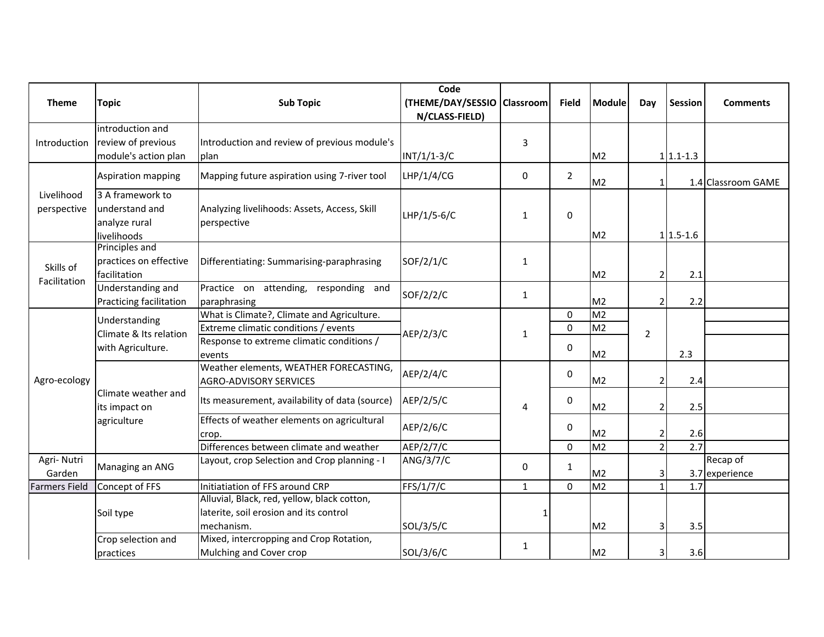| <b>Theme</b>         | <b>Topic</b>                                                 | <b>Sub Topic</b>                               | Code<br>(THEME/DAY/SESSIO   Classroom |              | <b>Field</b>   | <b>Module</b>  | Day            | Session     | <b>Comments</b>    |
|----------------------|--------------------------------------------------------------|------------------------------------------------|---------------------------------------|--------------|----------------|----------------|----------------|-------------|--------------------|
|                      |                                                              |                                                | N/CLASS-FIELD)                        |              |                |                |                |             |                    |
|                      | introduction and                                             |                                                |                                       |              |                |                |                |             |                    |
| Introduction         | review of previous                                           | Introduction and review of previous module's   |                                       | 3            |                |                |                |             |                    |
|                      | module's action plan                                         | plan                                           | $INT/1/1-3/C$                         |              |                | M <sub>2</sub> |                | $1 1.1-1.3$ |                    |
|                      | Aspiration mapping                                           | Mapping future aspiration using 7-river tool   | LHP/1/4/CG                            | 0            | $\overline{2}$ | M <sub>2</sub> |                |             | 1.4 Classroom GAME |
| Livelihood           | 3 A framework to                                             |                                                |                                       |              |                |                |                |             |                    |
| perspective          | understand and                                               | Analyzing livelihoods: Assets, Access, Skill   | LHP/1/5-6/C                           | $\mathbf{1}$ | 0              |                |                |             |                    |
|                      | analyze rural                                                | perspective                                    |                                       |              |                |                |                |             |                    |
|                      | livelihoods                                                  |                                                |                                       |              |                | M <sub>2</sub> |                | $1 1.5-1.6$ |                    |
|                      | Principles and                                               |                                                |                                       |              |                |                |                |             |                    |
| Skills of            | practices on effective                                       | Differentiating: Summarising-paraphrasing      | SOF/2/1/C                             | $\mathbf{1}$ |                |                |                |             |                    |
| Facilitation         | facilitation<br>Understanding and                            | Practice on attending, responding and          |                                       |              |                | M <sub>2</sub> | 2              | 2.1         |                    |
|                      | Practicing facilitation                                      | paraphrasing                                   | SOF/2/2/C                             | $\mathbf{1}$ |                | M <sub>2</sub> | 2              | 2.2         |                    |
|                      | Understanding<br>Climate & Its relation<br>with Agriculture. | What is Climate?, Climate and Agriculture.     |                                       |              | $\mathbf{0}$   | M <sub>2</sub> |                |             |                    |
|                      |                                                              | Extreme climatic conditions / events           |                                       | $\mathbf{1}$ | $\Omega$       | M <sub>2</sub> |                |             |                    |
|                      |                                                              | Response to extreme climatic conditions /      | AEP/2/3/C                             |              |                |                | $\overline{2}$ |             |                    |
|                      |                                                              | events                                         |                                       |              | 0              | M <sub>2</sub> |                | 2.3         |                    |
|                      | Climate weather and<br>its impact on<br>agriculture          | Weather elements, WEATHER FORECASTING,         | AEP/2/4/C                             |              | $\mathbf 0$    |                |                |             |                    |
| Agro-ecology         |                                                              | <b>AGRO-ADVISORY SERVICES</b>                  |                                       |              |                | M <sub>2</sub> | 2              | 2.4         |                    |
|                      |                                                              | Its measurement, availability of data (source) | AEP/2/5/C                             | 4            | $\mathbf 0$    | M <sub>2</sub> | 2              | 2.5         |                    |
|                      |                                                              | Effects of weather elements on agricultural    |                                       |              |                |                |                |             |                    |
|                      |                                                              | crop.                                          | AEP/2/6/C                             |              | $\mathbf 0$    | M <sub>2</sub> | 2              | 2.6         |                    |
|                      |                                                              | Differences between climate and weather        | AEP/2/7/C                             |              | $\mathbf 0$    | M <sub>2</sub> | $\overline{2}$ | 2.7         |                    |
| Agri- Nutri          | Managing an ANG                                              | Layout, crop Selection and Crop planning - I   | ANG/3/7/C                             | 0            | $\mathbf{1}$   |                |                |             | Recap of           |
| Garden               |                                                              |                                                |                                       |              |                | M <sub>2</sub> | 31             |             | 3.7 experience     |
| <b>Farmers Field</b> | Concept of FFS                                               | Initiatiation of FFS around CRP                | FFS/1/7/C                             | $\mathbf{1}$ | $\mathbf 0$    | M <sub>2</sub> | $\mathbf{1}$   | 1.7         |                    |
|                      | Soil type                                                    | Alluvial, Black, red, yellow, black cotton,    |                                       |              |                |                |                |             |                    |
|                      |                                                              | laterite, soil erosion and its control         |                                       |              |                |                |                |             |                    |
|                      |                                                              | mechanism.                                     | SOL/3/5/C                             |              |                | M <sub>2</sub> | 3              | 3.5         |                    |
|                      | Crop selection and                                           | Mixed, intercropping and Crop Rotation,        |                                       | $\mathbf{1}$ |                |                |                |             |                    |
|                      | Mulching and Cover crop<br>practices                         |                                                | SOL/3/6/C                             |              |                | M <sub>2</sub> | 31             | 3.6         |                    |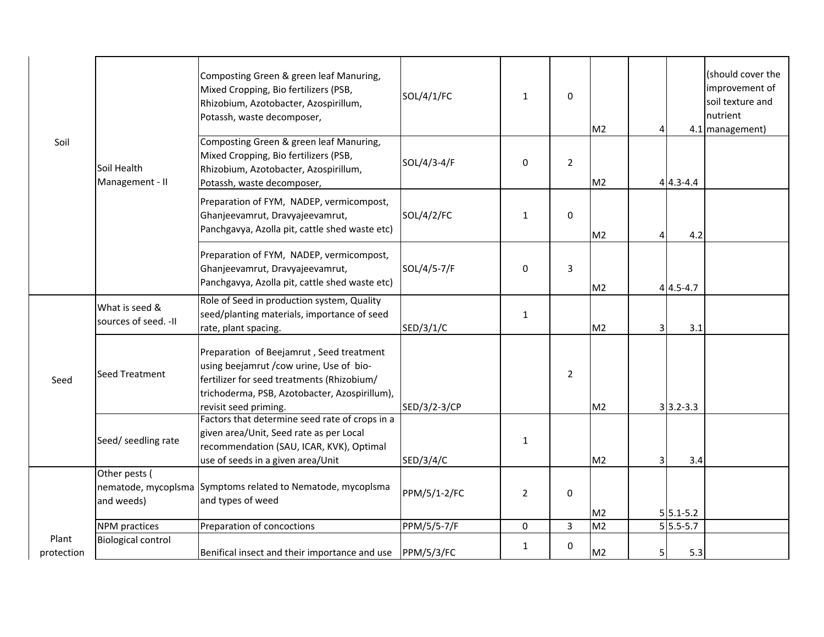|                     | Soil Health<br>Management - II          | Composting Green & green leaf Manuring,<br>Mixed Cropping, Bio fertilizers (PSB,<br>Rhizobium, Azotobacter, Azospirillum,<br>Potassh, waste decomposer,                                                      | SOL/4/1/FC         | $\mathbf{1}$   | 0              | M <sub>2</sub> | 4 |                | (should cover the<br>improvement of<br>soil texture and<br>nutrient<br>4.1 management) |
|---------------------|-----------------------------------------|--------------------------------------------------------------------------------------------------------------------------------------------------------------------------------------------------------------|--------------------|----------------|----------------|----------------|---|----------------|----------------------------------------------------------------------------------------|
| Soil                |                                         | Composting Green & green leaf Manuring,<br>Mixed Cropping, Bio fertilizers (PSB,<br>Rhizobium, Azotobacter, Azospirillum,<br>Potassh, waste decomposer,                                                      | SOL/4/3-4/F        | $\mathbf 0$    | $\overline{2}$ | M <sub>2</sub> |   | $4 4.3 - 4.4 $ |                                                                                        |
|                     |                                         | Preparation of FYM, NADEP, vermicompost,<br>Ghanjeevamrut, Dravyajeevamrut,<br>Panchgavya, Azolla pit, cattle shed waste etc)                                                                                | SOL/4/2/FC         | 1              | 0              | M <sub>2</sub> | 4 | 4.2            |                                                                                        |
|                     |                                         | Preparation of FYM, NADEP, vermicompost,<br>Ghanjeevamrut, Dravyajeevamrut,<br>Panchgavya, Azolla pit, cattle shed waste etc)                                                                                | SOL/4/5-7/F        | 0              | 3              | M <sub>2</sub> |   | $4 4.5 - 4.7$  |                                                                                        |
| Seed                | What is seed &<br>sources of seed. - II | Role of Seed in production system, Quality<br>seed/planting materials, importance of seed<br>rate, plant spacing.                                                                                            | SED/3/1/C          | $\mathbf{1}$   |                | M <sub>2</sub> | 3 | 3.1            |                                                                                        |
|                     | <b>Seed Treatment</b>                   | Preparation of Beejamrut, Seed treatment<br>using beejamrut / cow urine, Use of bio-<br>fertilizer for seed treatments (Rhizobium/<br>trichoderma, PSB, Azotobacter, Azospirillum),<br>revisit seed priming. | SED/3/2-3/CP       |                | $\overline{2}$ | M <sub>2</sub> |   | $3 3.2 - 3.3$  |                                                                                        |
|                     | Seed/ seedling rate                     | Factors that determine seed rate of crops in a<br>given area/Unit, Seed rate as per Local<br>recommendation (SAU, ICAR, KVK), Optimal<br>use of seeds in a given area/Unit                                   | SED/3/4/C          | $\mathbf{1}$   |                | M <sub>2</sub> | 3 | 3.4            |                                                                                        |
|                     | Other pests (<br>and weeds)             | nematode, mycoplsma Symptoms related to Nematode, mycoplsma<br>and types of weed                                                                                                                             | PPM/5/1-2/FC       | $\overline{2}$ | 0              | M <sub>2</sub> |   | $5 5.1-5.2 $   |                                                                                        |
|                     | <b>NPM</b> practices                    | Preparation of concoctions                                                                                                                                                                                   | <b>PPM/5/5-7/F</b> | $\mathbf 0$    | $\overline{3}$ | M <sub>2</sub> |   | $5 5.5-5.7$    |                                                                                        |
| Plant<br>protection | <b>Biological control</b>               | Benifical insect and their importance and use                                                                                                                                                                | PPM/5/3/FC         | 1              | 0              | M <sub>2</sub> | 5 | 5.3            |                                                                                        |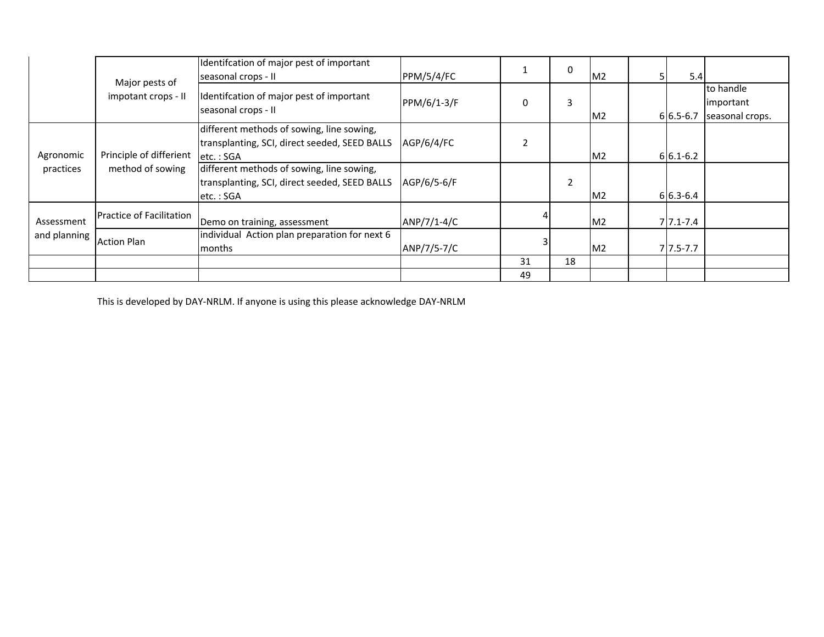|                        | Major pests of                              | Identifcation of major pest of important<br>seasonal crops - II                                         | PPM/5/4/FC  |    | $\mathbf{0}$   | M <sub>2</sub> | 5.4          |                                           |
|------------------------|---------------------------------------------|---------------------------------------------------------------------------------------------------------|-------------|----|----------------|----------------|--------------|-------------------------------------------|
|                        | impotant crops - II                         | Identifcation of major pest of important<br>seasonal crops - II                                         | PPM/6/1-3/F |    | 3              | M <sub>2</sub> | $6 6.5-6.7$  | to handle<br>important<br>seasonal crops. |
| Agronomic<br>practices | Principle of differient<br>method of sowing | different methods of sowing, line sowing,<br>transplanting, SCI, direct seeded, SEED BALLS<br>letc.:SGA | AGP/6/4/FC  |    |                | M <sub>2</sub> | $6 6.1-6.2 $ |                                           |
|                        |                                             | different methods of sowing, line sowing,<br>transplanting, SCI, direct seeded, SEED BALLS<br>etc.: SGA | AGP/6/5-6/F |    | $\overline{2}$ | M <sub>2</sub> | $6 6.3-6.4 $ |                                           |
| Assessment             | Practice of Facilitation                    | Demo on training, assessment                                                                            | ANP/7/1-4/C |    |                | M <sub>2</sub> | $7 7.1-7.4$  |                                           |
| and planning           | <b>Action Plan</b>                          | individual Action plan preparation for next 6<br>months                                                 | ANP/7/5-7/C |    |                | M <sub>2</sub> | $7 7.5-7.7$  |                                           |
|                        |                                             |                                                                                                         |             | 31 | 18             |                |              |                                           |
|                        |                                             |                                                                                                         |             | 49 |                |                |              |                                           |

This is developed by DAY-NRLM. If anyone is using this please acknowledge DAY-NRLM